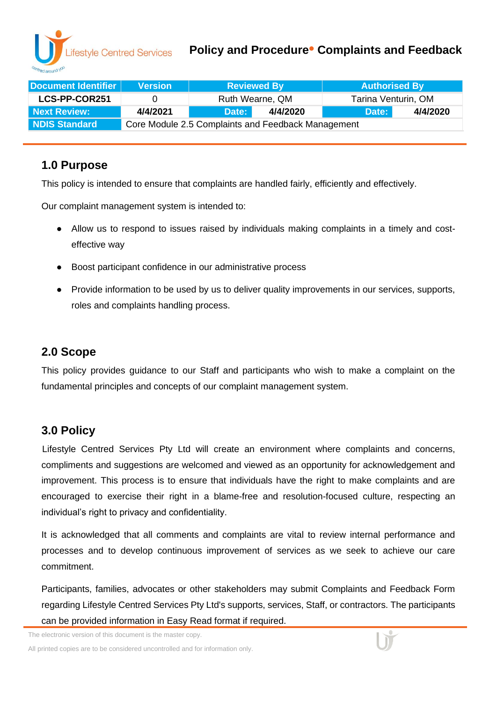### **Policy and Procedure• Complaints and Feedback**

| Document Identifier | <b>Version</b>                                     | <b>Reviewed By</b> |          | <b>Authorised By</b> |          |  |
|---------------------|----------------------------------------------------|--------------------|----------|----------------------|----------|--|
| LCS-PP-COR251       | $^{\circ}$                                         | Ruth Wearne, QM    |          | Tarina Venturin, OM  |          |  |
| Next Review:        | 4/4/2021                                           | Date:              | 4/4/2020 | Date:                | 4/4/2020 |  |
| NDIS Standard       | Core Module 2.5 Complaints and Feedback Management |                    |          |                      |          |  |

## **1.0 Purpose**

This policy is intended to ensure that complaints are handled fairly, efficiently and effectively.

Our complaint management system is intended to:

- Allow us to respond to issues raised by individuals making complaints in a timely and costeffective way
- Boost participant confidence in our administrative process
- Provide information to be used by us to deliver quality improvements in our services, supports, roles and complaints handling process.

# **2.0 Scope**

This policy provides guidance to our Staff and participants who wish to make a complaint on the fundamental principles and concepts of our complaint management system.

# **3.0 Policy**

Lifestyle Centred Services Pty Ltd will create an environment where complaints and concerns, compliments and suggestions are welcomed and viewed as an opportunity for acknowledgement and improvement. This process is to ensure that individuals have the right to make complaints and are encouraged to exercise their right in a blame-free and resolution-focused culture, respecting an individual's right to privacy and confidentiality.

It is acknowledged that all comments and complaints are vital to review internal performance and processes and to develop continuous improvement of services as we seek to achieve our care commitment.

Participants, families, advocates or other stakeholders may submit Complaints and Feedback Form regarding Lifestyle Centred Services Pty Ltd's supports, services, Staff, or contractors. The participants can be provided information in Easy Read format if required.

The electronic version of this document is the master copy.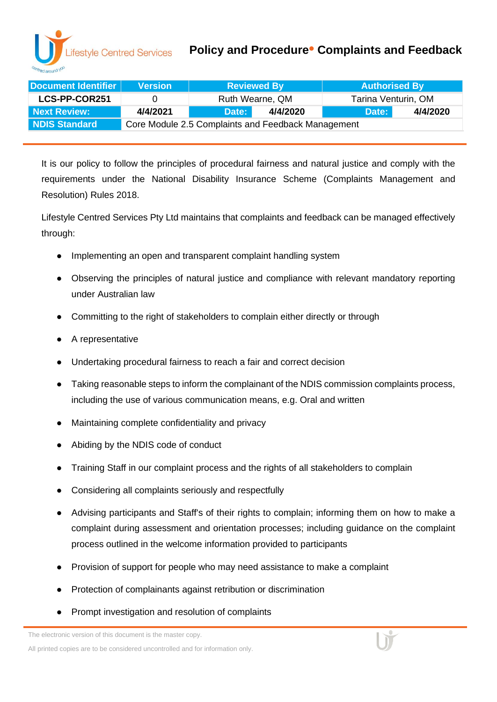### **Policy and Procedure• Complaints and Feedback**

| Document Identifier | <b>Version</b>                                     | <b>Reviewed By</b> |          | <b>Authorised By</b> |          |  |
|---------------------|----------------------------------------------------|--------------------|----------|----------------------|----------|--|
| LCS-PP-COR251       |                                                    | Ruth Wearne, QM    |          | Tarina Venturin, OM  |          |  |
| Next Review:        | 4/4/2021                                           | Date:              | 4/4/2020 | Date:                | 4/4/2020 |  |
| NDIS Standard       | Core Module 2.5 Complaints and Feedback Management |                    |          |                      |          |  |

It is our policy to follow the principles of procedural fairness and natural justice and comply with the requirements under the National Disability Insurance Scheme (Complaints Management and Resolution) Rules 2018.

Lifestyle Centred Services Pty Ltd maintains that complaints and feedback can be managed effectively through:

- Implementing an open and transparent complaint handling system
- Observing the principles of natural justice and compliance with relevant mandatory reporting under Australian law
- Committing to the right of stakeholders to complain either directly or through
- A representative
- Undertaking procedural fairness to reach a fair and correct decision
- Taking reasonable steps to inform the complainant of the NDIS commission complaints process, including the use of various communication means, e.g. Oral and written
- Maintaining complete confidentiality and privacy
- Abiding by the NDIS code of conduct
- Training Staff in our complaint process and the rights of all stakeholders to complain
- Considering all complaints seriously and respectfully
- Advising participants and Staff's of their rights to complain; informing them on how to make a complaint during assessment and orientation processes; including guidance on the complaint process outlined in the welcome information provided to participants
- Provision of support for people who may need assistance to make a complaint
- Protection of complainants against retribution or discrimination
- Prompt investigation and resolution of complaints

The electronic version of this document is the master copy.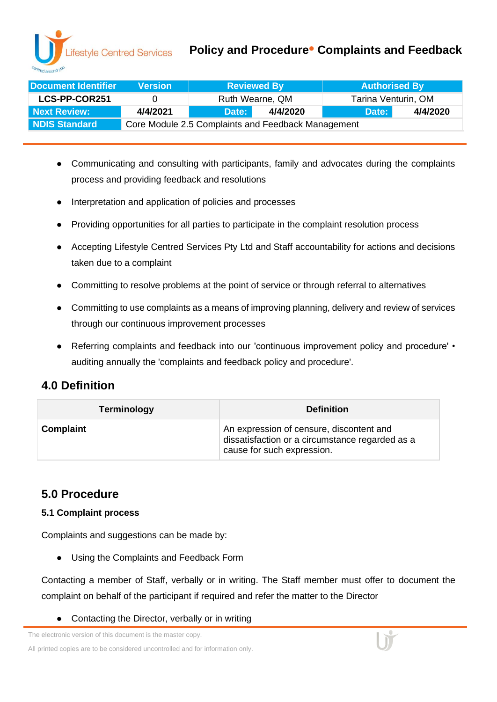### **Policy and Procedure• Complaints and Feedback**

| Document Identifier | <b>Version</b>                                     | <b>Reviewed By</b> |  | <b>Authorised By</b> |          |  |
|---------------------|----------------------------------------------------|--------------------|--|----------------------|----------|--|
| LCS-PP-COR251       | $\mathbf{U}$                                       | Ruth Wearne, QM    |  | Tarina Venturin, OM  |          |  |
| Next Review:        | 4/4/2021                                           | 4/4/2020<br>Date:  |  | Date:                | 4/4/2020 |  |
| NDIS Standard       | Core Module 2.5 Complaints and Feedback Management |                    |  |                      |          |  |

- Communicating and consulting with participants, family and advocates during the complaints process and providing feedback and resolutions
- Interpretation and application of policies and processes
- Providing opportunities for all parties to participate in the complaint resolution process
- Accepting Lifestyle Centred Services Pty Ltd and Staff accountability for actions and decisions taken due to a complaint
- Committing to resolve problems at the point of service or through referral to alternatives
- Committing to use complaints as a means of improving planning, delivery and review of services through our continuous improvement processes
- Referring complaints and feedback into our 'continuous improvement policy and procedure' auditing annually the 'complaints and feedback policy and procedure'.

# **4.0 Definition**

| <b>Terminology</b> | <b>Definition</b>                                                                                                         |
|--------------------|---------------------------------------------------------------------------------------------------------------------------|
| Complaint          | An expression of censure, discontent and<br>dissatisfaction or a circumstance regarded as a<br>cause for such expression. |

# **5.0 Procedure**

### **5.1 Complaint process**

Complaints and suggestions can be made by:

● Using the Complaints and Feedback Form

Contacting a member of Staff, verbally or in writing. The Staff member must offer to document the complaint on behalf of the participant if required and refer the matter to the Director

Contacting the Director, verbally or in writing

The electronic version of this document is the master copy.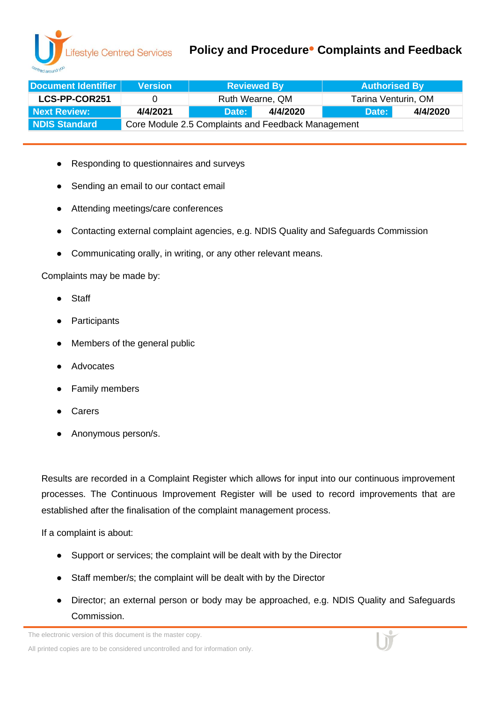## **Policy and Procedure• Complaints and Feedback**

| Document Identifier | <b>Version</b>                                     | <b>Reviewed By</b> |          | <b>Authorised By</b> |          |  |
|---------------------|----------------------------------------------------|--------------------|----------|----------------------|----------|--|
| LCS-PP-COR251       |                                                    | Ruth Wearne, QM    |          | Tarina Venturin, OM  |          |  |
| Next Review:        | 4/4/2021                                           | Date:              | 4/4/2020 | Date:                | 4/4/2020 |  |
| NDIS Standard       | Core Module 2.5 Complaints and Feedback Management |                    |          |                      |          |  |

- Responding to questionnaires and surveys
- Sending an email to our contact email
- Attending meetings/care conferences
- Contacting external complaint agencies, e.g. NDIS Quality and Safeguards Commission
- Communicating orally, in writing, or any other relevant means.

Complaints may be made by:

- **Staff**
- Participants
- Members of the general public
- **Advocates**
- Family members
- **Carers**
- Anonymous person/s.

Results are recorded in a Complaint Register which allows for input into our continuous improvement processes. The Continuous Improvement Register will be used to record improvements that are established after the finalisation of the complaint management process.

If a complaint is about:

- Support or services; the complaint will be dealt with by the Director
- Staff member/s; the complaint will be dealt with by the Director
- Director; an external person or body may be approached, e.g. NDIS Quality and Safeguards Commission.

The electronic version of this document is the master copy.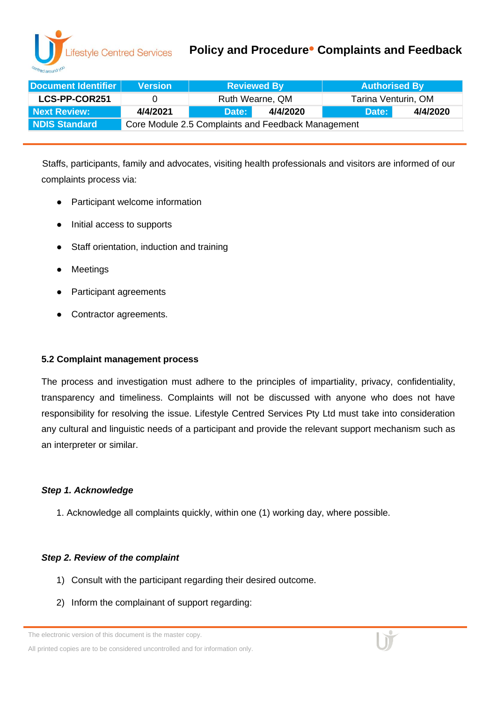### **Policy and Procedure• Complaints and Feedback**

| Document Identifier | <b>Version</b>                                     | <b>Reviewed By</b> |          | <b>Authorised By</b> |          |  |
|---------------------|----------------------------------------------------|--------------------|----------|----------------------|----------|--|
| LCS-PP-COR251       | $\mathbf{U}$                                       | Ruth Wearne, QM    |          | Tarina Venturin, OM  |          |  |
| Next Review:        | 4/4/2021                                           | Date:              | 4/4/2020 | Date:                | 4/4/2020 |  |
| NDIS Standard       | Core Module 2.5 Complaints and Feedback Management |                    |          |                      |          |  |

Staffs, participants, family and advocates, visiting health professionals and visitors are informed of our complaints process via:

- Participant welcome information
- Initial access to supports
- Staff orientation, induction and training
- **Meetings**
- Participant agreements
- Contractor agreements.

#### **5.2 Complaint management process**

The process and investigation must adhere to the principles of impartiality, privacy, confidentiality, transparency and timeliness. Complaints will not be discussed with anyone who does not have responsibility for resolving the issue. Lifestyle Centred Services Pty Ltd must take into consideration any cultural and linguistic needs of a participant and provide the relevant support mechanism such as an interpreter or similar.

#### *Step 1. Acknowledge*

1. Acknowledge all complaints quickly, within one (1) working day, where possible.

#### *Step 2. Review of the complaint*

- 1) Consult with the participant regarding their desired outcome.
- 2) Inform the complainant of support regarding:

The electronic version of this document is the master copy.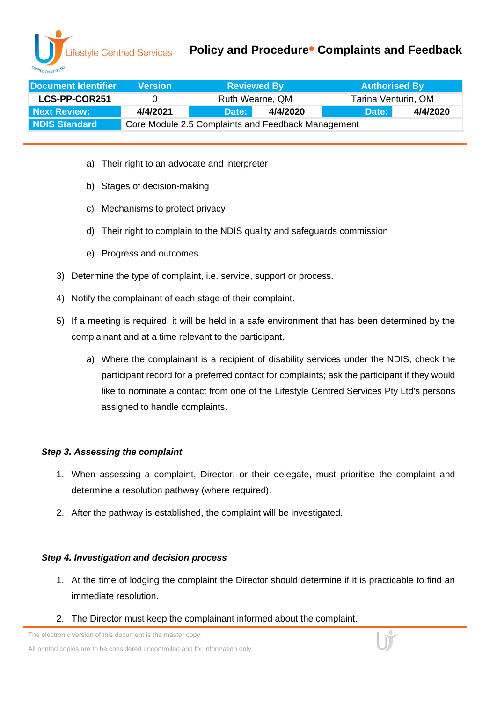## **Policy and Procedure• Complaints and Feedback**

| Document Identifier | <b>Version</b>                                     | <b>Reviewed By</b> |          | <b>Authorised By</b> |          |  |  |
|---------------------|----------------------------------------------------|--------------------|----------|----------------------|----------|--|--|
| LCS-PP-COR251       | $\mathbf{U}$                                       | Ruth Wearne, QM    |          | Tarina Venturin, OM  |          |  |  |
| Next Review:        | 4/4/2021                                           | Date:              | 4/4/2020 | Date:                | 4/4/2020 |  |  |
| NDIS Standard       | Core Module 2.5 Complaints and Feedback Management |                    |          |                      |          |  |  |

- a) Their right to an advocate and interpreter
- b) Stages of decision-making
- c) Mechanisms to protect privacy
- d) Their right to complain to the NDIS quality and safeguards commission
- e) Progress and outcomes.
- 3) Determine the type of complaint, i.e. service, support or process.
- 4) Notify the complainant of each stage of their complaint.
- 5) If a meeting is required, it will be held in a safe environment that has been determined by the complainant and at a time relevant to the participant.
	- a) Where the complainant is a recipient of disability services under the NDIS, check the participant record for a preferred contact for complaints; ask the participant if they would like to nominate a contact from one of the Lifestyle Centred Services Pty Ltd's persons assigned to handle complaints.

#### *Step 3. Assessing the complaint*

- 1. When assessing a complaint, Director, or their delegate, must prioritise the complaint and determine a resolution pathway (where required).
- 2. After the pathway is established, the complaint will be investigated.

#### *Step 4. Investigation and decision process*

- 1. At the time of lodging the complaint the Director should determine if it is practicable to find an immediate resolution.
- 2. The Director must keep the complainant informed about the complaint.

The electronic version of this document is the master copy.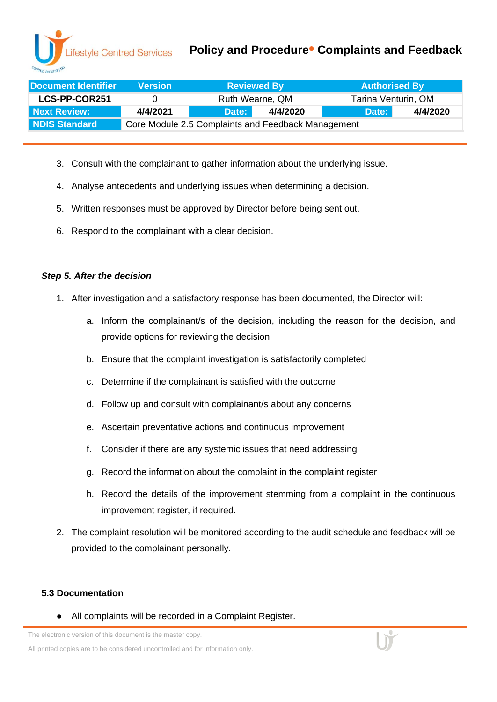### **Policy and Procedure• Complaints and Feedback**

| Document Identifier | <b>Version</b>                                     | <b>Reviewed By</b> |          | <b>Authorised By</b> |          |  |
|---------------------|----------------------------------------------------|--------------------|----------|----------------------|----------|--|
| LCS-PP-COR251       |                                                    | Ruth Wearne, QM    |          | Tarina Venturin, OM  |          |  |
| Next Review:        | 4/4/2021                                           | Date:              | 4/4/2020 | Date:                | 4/4/2020 |  |
| NDIS Standard       | Core Module 2.5 Complaints and Feedback Management |                    |          |                      |          |  |

- 3. Consult with the complainant to gather information about the underlying issue.
- 4. Analyse antecedents and underlying issues when determining a decision.
- 5. Written responses must be approved by Director before being sent out.
- 6. Respond to the complainant with a clear decision.

#### *Step 5. After the decision*

- 1. After investigation and a satisfactory response has been documented, the Director will:
	- a. Inform the complainant/s of the decision, including the reason for the decision, and provide options for reviewing the decision
	- b. Ensure that the complaint investigation is satisfactorily completed
	- c. Determine if the complainant is satisfied with the outcome
	- d. Follow up and consult with complainant/s about any concerns
	- e. Ascertain preventative actions and continuous improvement
	- f. Consider if there are any systemic issues that need addressing
	- g. Record the information about the complaint in the complaint register
	- h. Record the details of the improvement stemming from a complaint in the continuous improvement register, if required.
- 2. The complaint resolution will be monitored according to the audit schedule and feedback will be provided to the complainant personally.

#### **5.3 Documentation**

All complaints will be recorded in a Complaint Register.

The electronic version of this document is the master copy.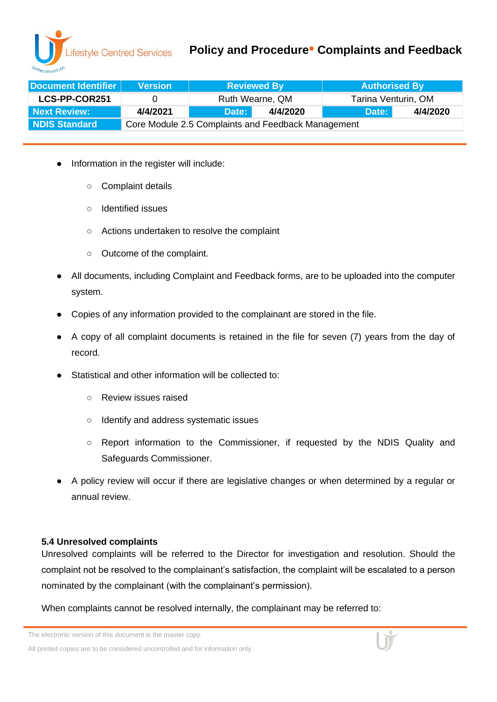

## **Policy and Procedure• Complaints and Feedback**

| Document Identifier | <b>Version</b>                                     | <b>Reviewed By</b> |          | <b>Authorised By</b> |          |  |
|---------------------|----------------------------------------------------|--------------------|----------|----------------------|----------|--|
| LCS-PP-COR251       |                                                    | Ruth Wearne, QM    |          | Tarina Venturin, OM  |          |  |
| Next Review:        | 4/4/2021                                           | Date:              | 4/4/2020 | Date:                | 4/4/2020 |  |
| NDIS Standard       | Core Module 2.5 Complaints and Feedback Management |                    |          |                      |          |  |

- Information in the register will include:
	- Complaint details
	- Identified issues
	- Actions undertaken to resolve the complaint
	- Outcome of the complaint.
- All documents, including Complaint and Feedback forms, are to be uploaded into the computer system.
- Copies of any information provided to the complainant are stored in the file.
- A copy of all complaint documents is retained in the file for seven (7) years from the day of record.
- Statistical and other information will be collected to:
	- Review issues raised
	- Identify and address systematic issues
	- Report information to the Commissioner, if requested by the NDIS Quality and Safeguards Commissioner.
- A policy review will occur if there are legislative changes or when determined by a regular or annual review.

#### **5.4 Unresolved complaints**

Unresolved complaints will be referred to the Director for investigation and resolution. Should the complaint not be resolved to the complainant's satisfaction, the complaint will be escalated to a person nominated by the complainant (with the complainant's permission).

When complaints cannot be resolved internally, the complainant may be referred to:

The electronic version of this document is the master copy.